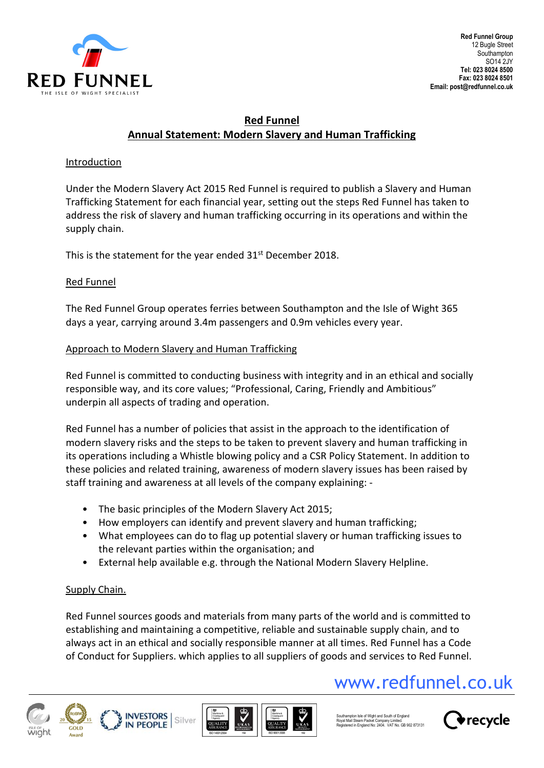

# **Red Funnel Annual Statement: Modern Slavery and Human Trafficking**

#### **Introduction**

Under the Modern Slavery Act 2015 Red Funnel is required to publish a Slavery and Human Trafficking Statement for each financial year, setting out the steps Red Funnel has taken to address the risk of slavery and human trafficking occurring in its operations and within the supply chain.

This is the statement for the year ended 31<sup>st</sup> December 2018.

## Red Funnel

The Red Funnel Group operates ferries between Southampton and the Isle of Wight 365 days a year, carrying around 3.4m passengers and 0.9m vehicles every year.

## Approach to Modern Slavery and Human Trafficking

Red Funnel is committed to conducting business with integrity and in an ethical and socially responsible way, and its core values; "Professional, Caring, Friendly and Ambitious" underpin all aspects of trading and operation.

Red Funnel has a number of policies that assist in the approach to the identification of modern slavery risks and the steps to be taken to prevent slavery and human trafficking in its operations including a Whistle blowing policy and a CSR Policy Statement. In addition to these policies and related training, awareness of modern slavery issues has been raised by staff training and awareness at all levels of the company explaining: ‐

- The basic principles of the Modern Slavery Act 2015;
- How employers can identify and prevent slavery and human trafficking;
- What employees can do to flag up potential slavery or human trafficking issues to the relevant parties within the organisation; and
- External help available e.g. through the National Modern Slavery Helpline.

## Supply Chain.

Red Funnel sources goods and materials from many parts of the world and is committed to establishing and maintaining a competitive, reliable and sustainable supply chain, and to always act in an ethical and socially responsible manner at all times. Red Funnel has a Code of Conduct for Suppliers. which applies to all suppliers of goods and services to Red Funnel.

# www.redfunnel.co.uk









Southampton Isle of Wight and South of England<br>Royal Mail Steam Packet Company Limited Royal Mail Steam Packet Company Limited. Registered in England No: 2404. VAT No. GB 902 873131